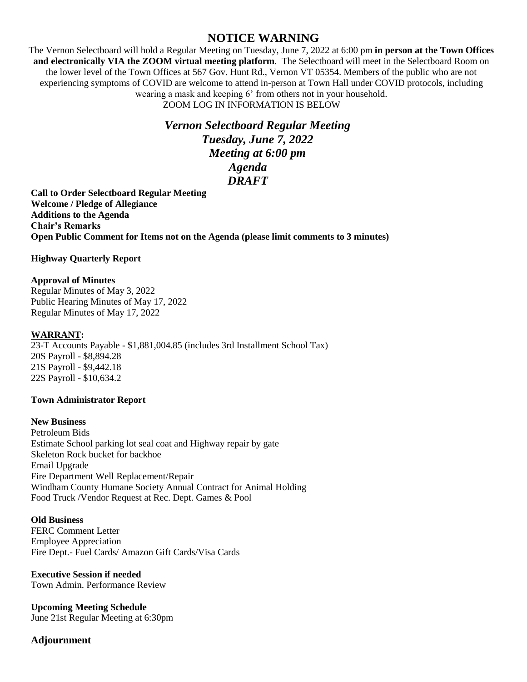# **NOTICE WARNING**

The Vernon Selectboard will hold a Regular Meeting on Tuesday, June 7, 2022 at 6:00 pm **in person at the Town Offices and electronically VIA the ZOOM virtual meeting platform**. The Selectboard will meet in the Selectboard Room on the lower level of the Town Offices at 567 Gov. Hunt Rd., Vernon VT 05354. Members of the public who are not experiencing symptoms of COVID are welcome to attend in-person at Town Hall under COVID protocols, including wearing a mask and keeping 6' from others not in your household. ZOOM LOG IN INFORMATION IS BELOW

# *Vernon Selectboard Regular Meeting Tuesday, June 7, 2022 Meeting at 6:00 pm Agenda DRAFT*

**Call to Order Selectboard Regular Meeting Welcome / Pledge of Allegiance Additions to the Agenda Chair's Remarks Open Public Comment for Items not on the Agenda (please limit comments to 3 minutes)**

# **Highway Quarterly Report**

#### **Approval of Minutes**

Regular Minutes of May 3, 2022 Public Hearing Minutes of May 17, 2022 Regular Minutes of May 17, 2022

# **WARRANT:**

23-T Accounts Payable - \$1,881,004.85 (includes 3rd Installment School Tax) 20S Payroll - \$8,894.28 21S Payroll - \$9,442.18 22S Payroll - \$10,634.2

# **Town Administrator Report**

#### **New Business**

Petroleum Bids Estimate School parking lot seal coat and Highway repair by gate Skeleton Rock bucket for backhoe Email Upgrade Fire Department Well Replacement/Repair Windham County Humane Society Annual Contract for Animal Holding Food Truck /Vendor Request at Rec. Dept. Games & Pool

# **Old Business**

FERC Comment Letter Employee Appreciation Fire Dept.- Fuel Cards/ Amazon Gift Cards/Visa Cards

#### **Executive Session if needed**

Town Admin. Performance Review

**Upcoming Meeting Schedule** June 21st Regular Meeting at 6:30pm

# **Adjournment**